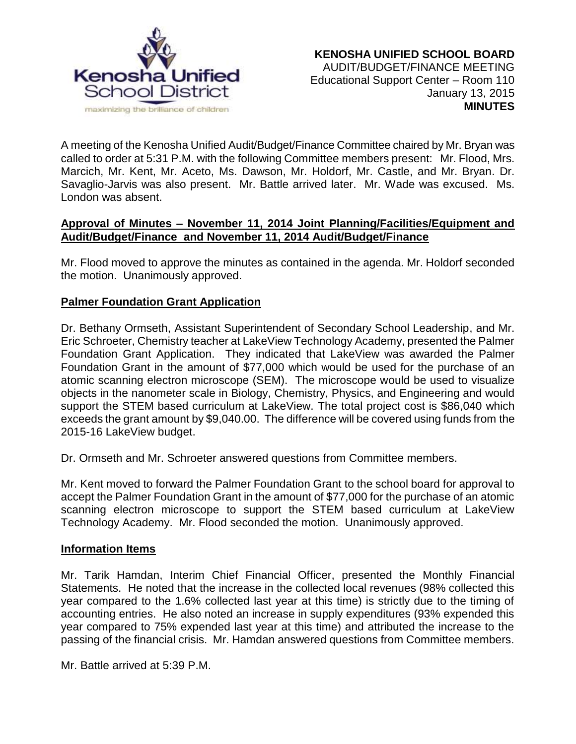

A meeting of the Kenosha Unified Audit/Budget/Finance Committee chaired by Mr. Bryan was called to order at 5:31 P.M. with the following Committee members present: Mr. Flood, Mrs. Marcich, Mr. Kent, Mr. Aceto, Ms. Dawson, Mr. Holdorf, Mr. Castle, and Mr. Bryan. Dr. Savaglio-Jarvis was also present. Mr. Battle arrived later. Mr. Wade was excused. Ms. London was absent.

## **Approval of Minutes – November 11, 2014 Joint Planning/Facilities/Equipment and Audit/Budget/Finance and November 11, 2014 Audit/Budget/Finance**

Mr. Flood moved to approve the minutes as contained in the agenda. Mr. Holdorf seconded the motion. Unanimously approved.

# **Palmer Foundation Grant Application**

Dr. Bethany Ormseth, Assistant Superintendent of Secondary School Leadership, and Mr. Eric Schroeter, Chemistry teacher at LakeView Technology Academy, presented the Palmer Foundation Grant Application. They indicated that LakeView was awarded the Palmer Foundation Grant in the amount of \$77,000 which would be used for the purchase of an atomic scanning electron microscope (SEM). The microscope would be used to visualize objects in the nanometer scale in Biology, Chemistry, Physics, and Engineering and would support the STEM based curriculum at LakeView. The total project cost is \$86,040 which exceeds the grant amount by \$9,040.00. The difference will be covered using funds from the 2015-16 LakeView budget.

Dr. Ormseth and Mr. Schroeter answered questions from Committee members.

Mr. Kent moved to forward the Palmer Foundation Grant to the school board for approval to accept the Palmer Foundation Grant in the amount of \$77,000 for the purchase of an atomic scanning electron microscope to support the STEM based curriculum at LakeView Technology Academy. Mr. Flood seconded the motion. Unanimously approved.

#### **Information Items**

Mr. Tarik Hamdan, Interim Chief Financial Officer, presented the Monthly Financial Statements. He noted that the increase in the collected local revenues (98% collected this year compared to the 1.6% collected last year at this time) is strictly due to the timing of accounting entries. He also noted an increase in supply expenditures (93% expended this year compared to 75% expended last year at this time) and attributed the increase to the passing of the financial crisis. Mr. Hamdan answered questions from Committee members.

Mr. Battle arrived at 5:39 P.M.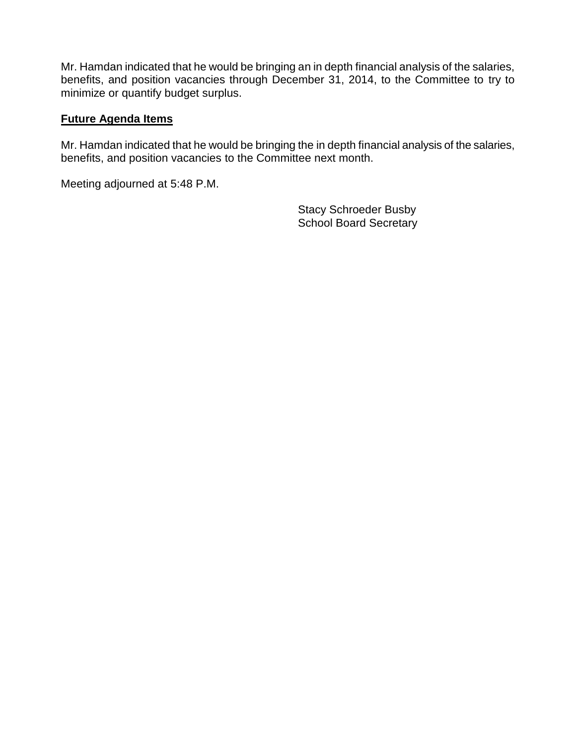Mr. Hamdan indicated that he would be bringing an in depth financial analysis of the salaries, benefits, and position vacancies through December 31, 2014, to the Committee to try to minimize or quantify budget surplus.

### **Future Agenda Items**

Mr. Hamdan indicated that he would be bringing the in depth financial analysis of the salaries, benefits, and position vacancies to the Committee next month.

Meeting adjourned at 5:48 P.M.

Stacy Schroeder Busby School Board Secretary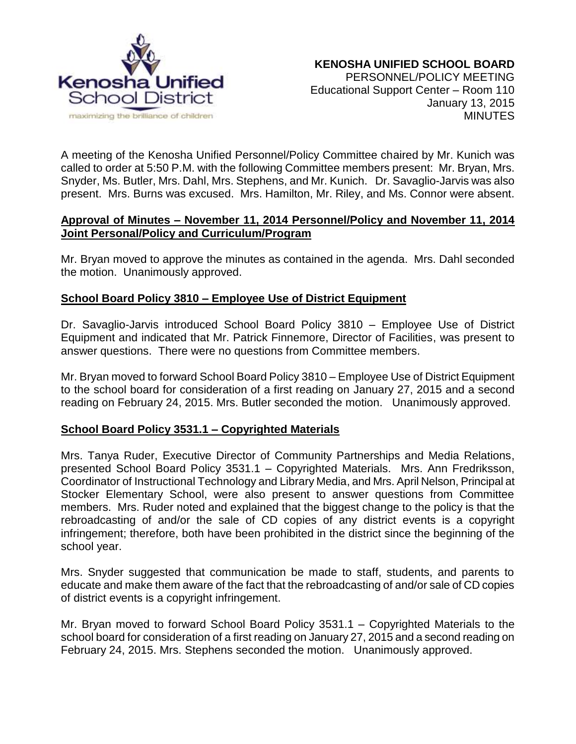

A meeting of the Kenosha Unified Personnel/Policy Committee chaired by Mr. Kunich was called to order at 5:50 P.M. with the following Committee members present: Mr. Bryan, Mrs. Snyder, Ms. Butler, Mrs. Dahl, Mrs. Stephens, and Mr. Kunich. Dr. Savaglio-Jarvis was also present. Mrs. Burns was excused. Mrs. Hamilton, Mr. Riley, and Ms. Connor were absent.

## **Approval of Minutes – November 11, 2014 Personnel/Policy and November 11, 2014 Joint Personal/Policy and Curriculum/Program**

Mr. Bryan moved to approve the minutes as contained in the agenda. Mrs. Dahl seconded the motion. Unanimously approved.

## **School Board Policy 3810 – Employee Use of District Equipment**

Dr. Savaglio-Jarvis introduced School Board Policy 3810 – Employee Use of District Equipment and indicated that Mr. Patrick Finnemore, Director of Facilities, was present to answer questions. There were no questions from Committee members.

Mr. Bryan moved to forward School Board Policy 3810 – Employee Use of District Equipment to the school board for consideration of a first reading on January 27, 2015 and a second reading on February 24, 2015. Mrs. Butler seconded the motion. Unanimously approved.

#### **School Board Policy 3531.1 – Copyrighted Materials**

Mrs. Tanya Ruder, Executive Director of Community Partnerships and Media Relations, presented School Board Policy 3531.1 – Copyrighted Materials. Mrs. Ann Fredriksson, Coordinator of Instructional Technology and Library Media, and Mrs. April Nelson, Principal at Stocker Elementary School, were also present to answer questions from Committee members. Mrs. Ruder noted and explained that the biggest change to the policy is that the rebroadcasting of and/or the sale of CD copies of any district events is a copyright infringement; therefore, both have been prohibited in the district since the beginning of the school year.

Mrs. Snyder suggested that communication be made to staff, students, and parents to educate and make them aware of the fact that the rebroadcasting of and/or sale of CD copies of district events is a copyright infringement.

Mr. Bryan moved to forward School Board Policy 3531.1 – Copyrighted Materials to the school board for consideration of a first reading on January 27, 2015 and a second reading on February 24, 2015. Mrs. Stephens seconded the motion. Unanimously approved.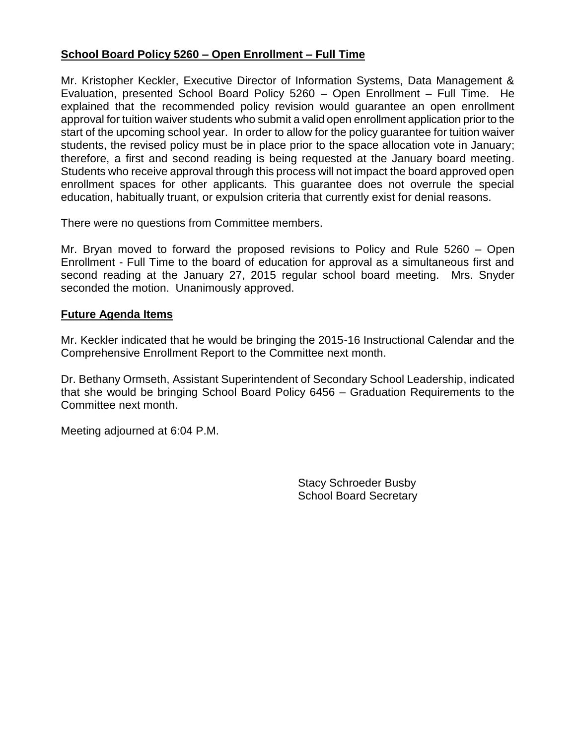## **School Board Policy 5260 – Open Enrollment – Full Time**

Mr. Kristopher Keckler, Executive Director of Information Systems, Data Management & Evaluation, presented School Board Policy 5260 – Open Enrollment – Full Time. He explained that the recommended policy revision would guarantee an open enrollment approval for tuition waiver students who submit a valid open enrollment application prior to the start of the upcoming school year. In order to allow for the policy guarantee for tuition waiver students, the revised policy must be in place prior to the space allocation vote in January; therefore, a first and second reading is being requested at the January board meeting. Students who receive approval through this process will not impact the board approved open enrollment spaces for other applicants. This guarantee does not overrule the special education, habitually truant, or expulsion criteria that currently exist for denial reasons.

There were no questions from Committee members.

Mr. Bryan moved to forward the proposed revisions to Policy and Rule 5260 – Open Enrollment - Full Time to the board of education for approval as a simultaneous first and second reading at the January 27, 2015 regular school board meeting. Mrs. Snyder seconded the motion. Unanimously approved.

#### **Future Agenda Items**

Mr. Keckler indicated that he would be bringing the 2015-16 Instructional Calendar and the Comprehensive Enrollment Report to the Committee next month.

Dr. Bethany Ormseth, Assistant Superintendent of Secondary School Leadership, indicated that she would be bringing School Board Policy 6456 – Graduation Requirements to the Committee next month.

Meeting adjourned at 6:04 P.M.

Stacy Schroeder Busby School Board Secretary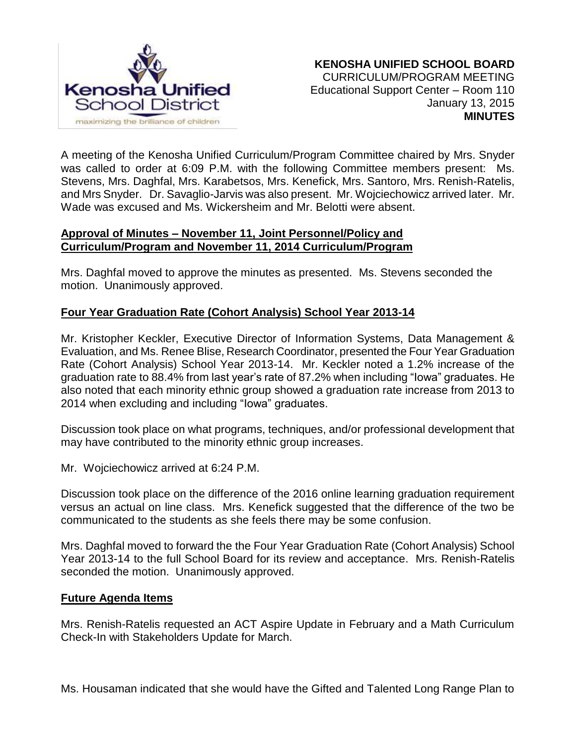

A meeting of the Kenosha Unified Curriculum/Program Committee chaired by Mrs. Snyder was called to order at 6:09 P.M. with the following Committee members present: Ms. Stevens, Mrs. Daghfal, Mrs. Karabetsos, Mrs. Kenefick, Mrs. Santoro, Mrs. Renish-Ratelis, and Mrs Snyder. Dr. Savaglio-Jarvis was also present. Mr. Wojciechowicz arrived later. Mr. Wade was excused and Ms. Wickersheim and Mr. Belotti were absent.

#### **Approval of Minutes – November 11, Joint Personnel/Policy and Curriculum/Program and November 11, 2014 Curriculum/Program**

Mrs. Daghfal moved to approve the minutes as presented. Ms. Stevens seconded the motion. Unanimously approved.

# **Four Year Graduation Rate (Cohort Analysis) School Year 2013-14**

Mr. Kristopher Keckler, Executive Director of Information Systems, Data Management & Evaluation, and Ms. Renee Blise, Research Coordinator, presented the Four Year Graduation Rate (Cohort Analysis) School Year 2013-14. Mr. Keckler noted a 1.2% increase of the graduation rate to 88.4% from last year's rate of 87.2% when including "Iowa" graduates. He also noted that each minority ethnic group showed a graduation rate increase from 2013 to 2014 when excluding and including "Iowa" graduates.

Discussion took place on what programs, techniques, and/or professional development that may have contributed to the minority ethnic group increases.

Mr. Wojciechowicz arrived at 6:24 P.M.

Discussion took place on the difference of the 2016 online learning graduation requirement versus an actual on line class. Mrs. Kenefick suggested that the difference of the two be communicated to the students as she feels there may be some confusion.

Mrs. Daghfal moved to forward the the Four Year Graduation Rate (Cohort Analysis) School Year 2013-14 to the full School Board for its review and acceptance. Mrs. Renish-Ratelis seconded the motion. Unanimously approved.

#### **Future Agenda Items**

Mrs. Renish-Ratelis requested an ACT Aspire Update in February and a Math Curriculum Check-In with Stakeholders Update for March.

Ms. Housaman indicated that she would have the Gifted and Talented Long Range Plan to